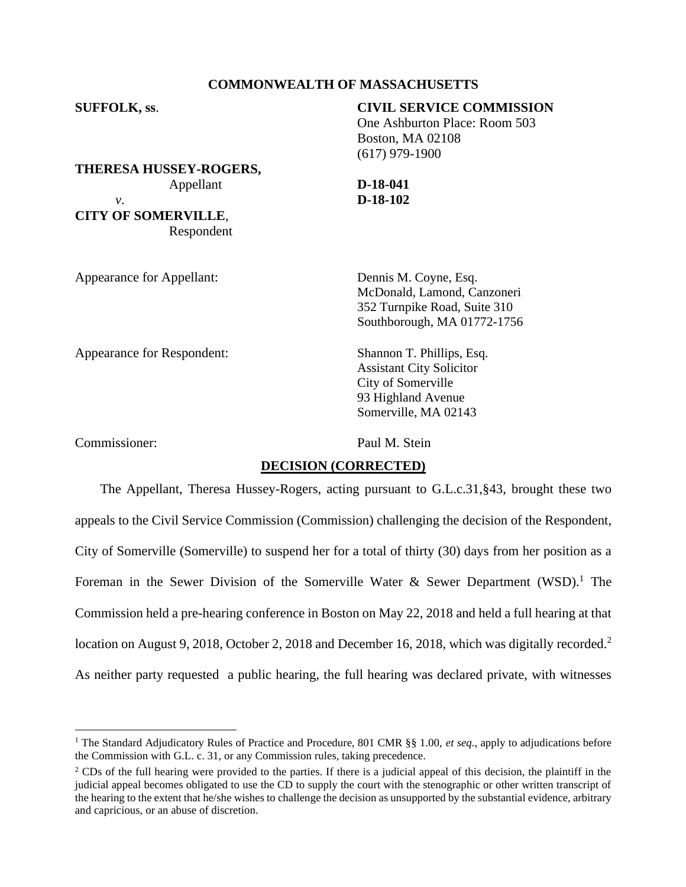## **COMMONWEALTH OF MASSACHUSETTS**

| <b>SUFFOLK, ss.</b>           | <b>CIVIL SERVICE COMMISSION</b> |
|-------------------------------|---------------------------------|
|                               | One Ashburton Place: Room 503   |
|                               | <b>Boston, MA 02108</b>         |
|                               | $(617)$ 979-1900                |
| <b>THERESA HUSSEY-ROGERS,</b> |                                 |
| Appellant                     | $D-18-041$                      |
| ν.                            | $D-18-102$                      |
| <b>CITY OF SOMERVILLE,</b>    |                                 |
| Respondent                    |                                 |
| Appearance for Appellant:     | Dennis M. Coyne, Esq.           |
|                               | McDonald, Lamond, Canzoneri     |
|                               | 352 Turnpike Road, Suite 310    |
|                               | Southborough, MA 01772-1756     |

Appearance for Respondent: Shannon T. Phillips, Esq.

Assistant City Solicitor City of Somerville

93 Highland Avenue Somerville, MA 02143

Commissioner: Paul M. Stein

### **DECISION (CORRECTED)**

The Appellant, Theresa Hussey-Rogers, acting pursuant to G.L.c.31,§43, brought these two appeals to the Civil Service Commission (Commission) challenging the decision of the Respondent, City of Somerville (Somerville) to suspend her for a total of thirty (30) days from her position as a Foreman in the Sewer Division of the Somerville Water & Sewer Department (WSD).<sup>1</sup> The Commission held a pre-hearing conference in Boston on May 22, 2018 and held a full hearing at that location on August 9, 2018, October 2, 2018 and December 16, 2018, which was digitally recorded.<sup>2</sup> As neither party requested a public hearing, the full hearing was declared private, with witnesses

<sup>1</sup> The Standard Adjudicatory Rules of Practice and Procedure, 801 CMR §§ 1.00, *et seq.*, apply to adjudications before the Commission with G.L. c. 31, or any Commission rules, taking precedence.

<sup>&</sup>lt;sup>2</sup> CDs of the full hearing were provided to the parties. If there is a judicial appeal of this decision, the plaintiff in the judicial appeal becomes obligated to use the CD to supply the court with the stenographic or other written transcript of the hearing to the extent that he/she wishes to challenge the decision as unsupported by the substantial evidence, arbitrary and capricious, or an abuse of discretion.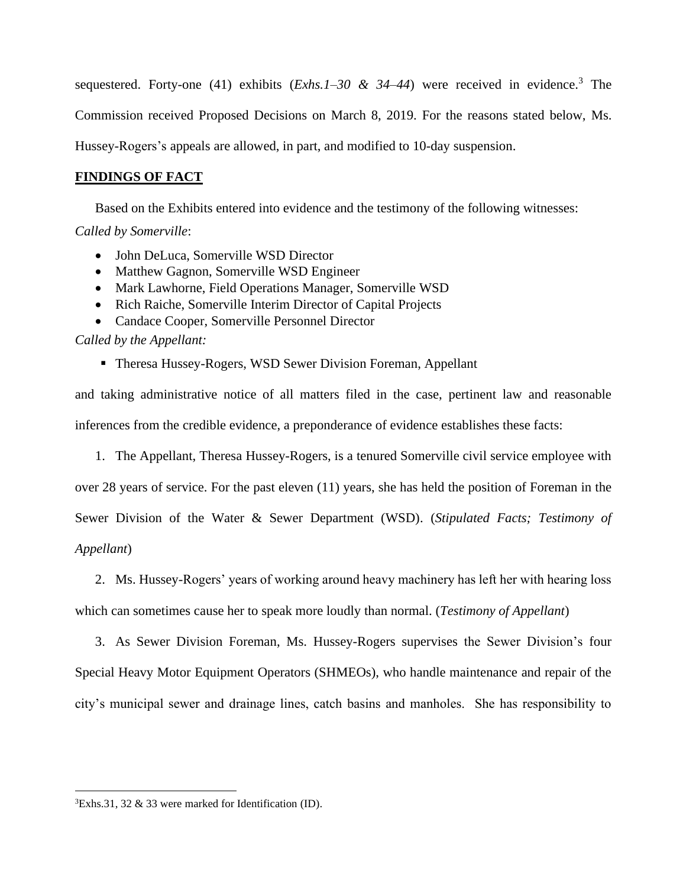sequestered. Forty-one (41) exhibits  $(Exhs.1-30.8; 34-44)$  were received in evidence.<sup>3</sup> The Commission received Proposed Decisions on March 8, 2019. For the reasons stated below, Ms. Hussey-Rogers's appeals are allowed, in part, and modified to 10-day suspension.

# **FINDINGS OF FACT**

Based on the Exhibits entered into evidence and the testimony of the following witnesses: *Called by Somerville*:

- John DeLuca, Somerville WSD Director
- Matthew Gagnon, Somerville WSD Engineer
- Mark Lawhorne, Field Operations Manager, Somerville WSD
- Rich Raiche, Somerville Interim Director of Capital Projects
- Candace Cooper, Somerville Personnel Director

## *Called by the Appellant:*

**Theresa Hussey-Rogers, WSD Sewer Division Foreman, Appellant** 

and taking administrative notice of all matters filed in the case, pertinent law and reasonable inferences from the credible evidence, a preponderance of evidence establishes these facts:

1. The Appellant, Theresa Hussey-Rogers, is a tenured Somerville civil service employee with

over 28 years of service. For the past eleven (11) years, she has held the position of Foreman in the Sewer Division of the Water & Sewer Department (WSD). (*Stipulated Facts; Testimony of* 

## *Appellant*)

2. Ms. Hussey-Rogers' years of working around heavy machinery has left her with hearing loss

which can sometimes cause her to speak more loudly than normal. (*Testimony of Appellant*)

3. As Sewer Division Foreman, Ms. Hussey-Rogers supervises the Sewer Division's four Special Heavy Motor Equipment Operators (SHMEOs), who handle maintenance and repair of the city's municipal sewer and drainage lines, catch basins and manholes. She has responsibility to

 ${}^{3}$ Exhs.31, 32 & 33 were marked for Identification (ID).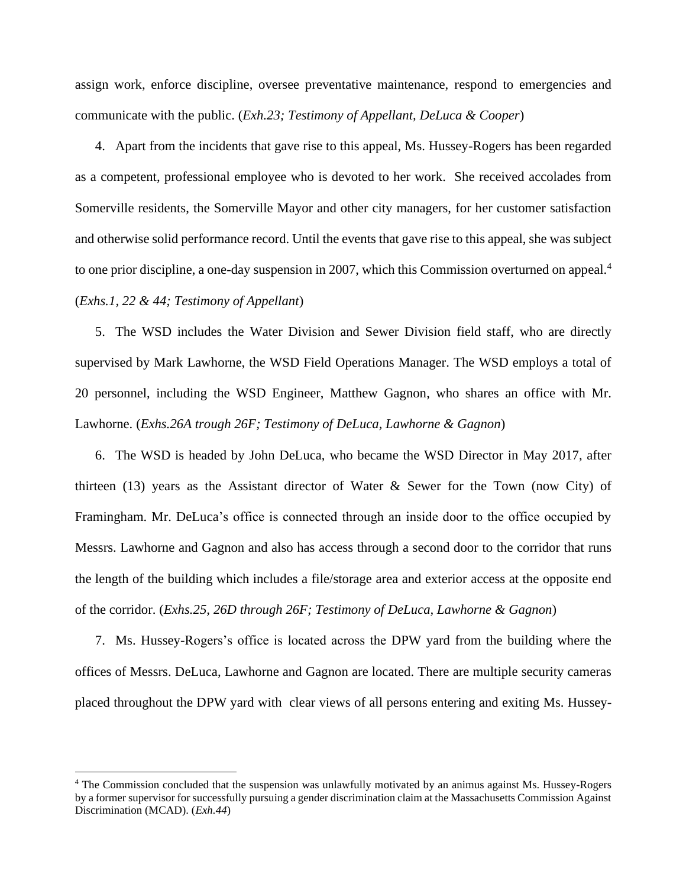assign work, enforce discipline, oversee preventative maintenance, respond to emergencies and communicate with the public. (*Exh.23; Testimony of Appellant, DeLuca & Cooper*)

4. Apart from the incidents that gave rise to this appeal, Ms. Hussey-Rogers has been regarded as a competent, professional employee who is devoted to her work. She received accolades from Somerville residents, the Somerville Mayor and other city managers, for her customer satisfaction and otherwise solid performance record. Until the events that gave rise to this appeal, she was subject to one prior discipline, a one-day suspension in 2007, which this Commission overturned on appeal.<sup>4</sup> (*Exhs.1, 22 & 44; Testimony of Appellant*)

5. The WSD includes the Water Division and Sewer Division field staff, who are directly supervised by Mark Lawhorne, the WSD Field Operations Manager. The WSD employs a total of 20 personnel, including the WSD Engineer, Matthew Gagnon, who shares an office with Mr. Lawhorne. (*Exhs.26A trough 26F; Testimony of DeLuca, Lawhorne & Gagnon*)

6. The WSD is headed by John DeLuca, who became the WSD Director in May 2017, after thirteen (13) years as the Assistant director of Water  $\&$  Sewer for the Town (now City) of Framingham. Mr. DeLuca's office is connected through an inside door to the office occupied by Messrs. Lawhorne and Gagnon and also has access through a second door to the corridor that runs the length of the building which includes a file/storage area and exterior access at the opposite end of the corridor. (*Exhs.25, 26D through 26F; Testimony of DeLuca, Lawhorne & Gagnon*)

7. Ms. Hussey-Rogers's office is located across the DPW yard from the building where the offices of Messrs. DeLuca, Lawhorne and Gagnon are located. There are multiple security cameras placed throughout the DPW yard with clear views of all persons entering and exiting Ms. Hussey-

<sup>4</sup> The Commission concluded that the suspension was unlawfully motivated by an animus against Ms. Hussey-Rogers by a former supervisor for successfully pursuing a gender discrimination claim at the Massachusetts Commission Against Discrimination (MCAD). (*Exh.44*)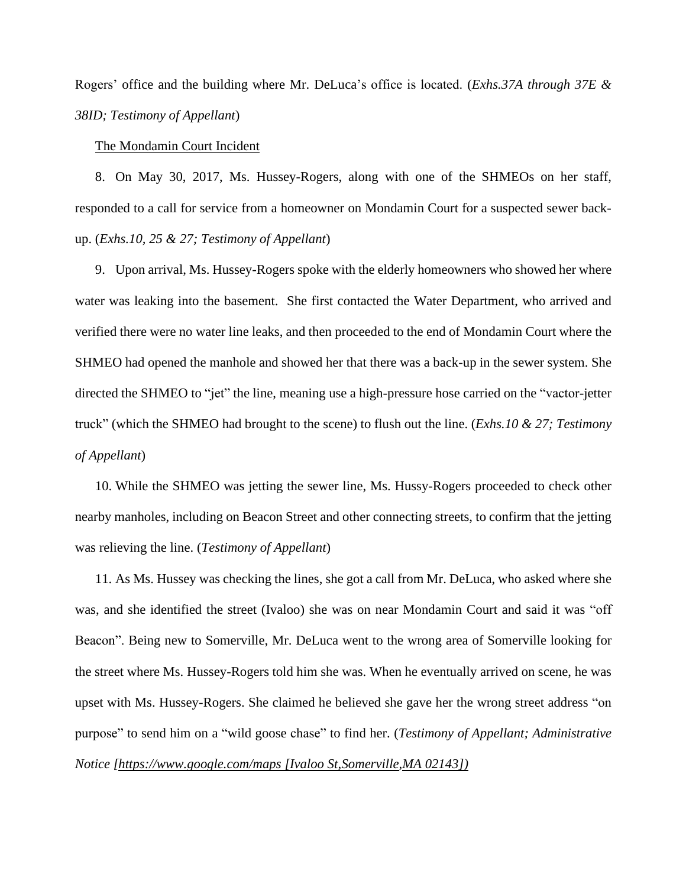Rogers' office and the building where Mr. DeLuca's office is located. (*Exhs.37A through 37E & 38ID; Testimony of Appellant*)

The Mondamin Court Incident

8. On May 30, 2017, Ms. Hussey-Rogers, along with one of the SHMEOs on her staff, responded to a call for service from a homeowner on Mondamin Court for a suspected sewer backup. (*Exhs.10, 25 & 27; Testimony of Appellant*)

9. Upon arrival, Ms. Hussey-Rogers spoke with the elderly homeowners who showed her where water was leaking into the basement. She first contacted the Water Department, who arrived and verified there were no water line leaks, and then proceeded to the end of Mondamin Court where the SHMEO had opened the manhole and showed her that there was a back-up in the sewer system. She directed the SHMEO to "jet" the line, meaning use a high-pressure hose carried on the "vactor-jetter truck" (which the SHMEO had brought to the scene) to flush out the line. (*Exhs.10 & 27; Testimony of Appellant*)

10. While the SHMEO was jetting the sewer line, Ms. Hussy-Rogers proceeded to check other nearby manholes, including on Beacon Street and other connecting streets, to confirm that the jetting was relieving the line. (*Testimony of Appellant*)

11. As Ms. Hussey was checking the lines, she got a call from Mr. DeLuca, who asked where she was, and she identified the street (Ivaloo) she was on near Mondamin Court and said it was "off Beacon". Being new to Somerville, Mr. DeLuca went to the wrong area of Somerville looking for the street where Ms. Hussey-Rogers told him she was. When he eventually arrived on scene, he was upset with Ms. Hussey-Rogers. She claimed he believed she gave her the wrong street address "on purpose" to send him on a "wild goose chase" to find her. (*Testimony of Appellant; Administrative Notice [\[https://www.google.com/maps \[Ivaloo St,](https://www.google.com/maps%20%5bIvaloo%20St)Somerville,MA 02143])*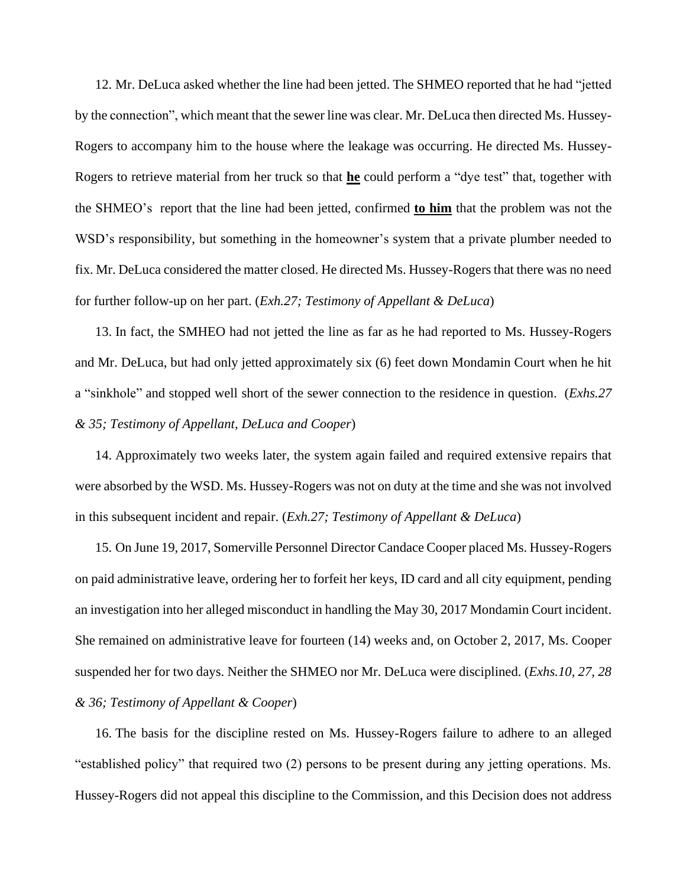12. Mr. DeLuca asked whether the line had been jetted. The SHMEO reported that he had "jetted by the connection", which meant that the sewer line was clear. Mr. DeLuca then directed Ms. Hussey-Rogers to accompany him to the house where the leakage was occurring. He directed Ms. Hussey-Rogers to retrieve material from her truck so that **he** could perform a "dye test" that, together with the SHMEO's report that the line had been jetted, confirmed **to him** that the problem was not the WSD's responsibility, but something in the homeowner's system that a private plumber needed to fix. Mr. DeLuca considered the matter closed. He directed Ms. Hussey-Rogers that there was no need for further follow-up on her part. (*Exh.27; Testimony of Appellant & DeLuca*)

13. In fact, the SMHEO had not jetted the line as far as he had reported to Ms. Hussey-Rogers and Mr. DeLuca, but had only jetted approximately six (6) feet down Mondamin Court when he hit a "sinkhole" and stopped well short of the sewer connection to the residence in question. (*Exhs.27 & 35; Testimony of Appellant, DeLuca and Cooper*)

14. Approximately two weeks later, the system again failed and required extensive repairs that were absorbed by the WSD. Ms. Hussey-Rogers was not on duty at the time and she was not involved in this subsequent incident and repair. (*Exh.27; Testimony of Appellant & DeLuca*)

15. On June 19, 2017, Somerville Personnel Director Candace Cooper placed Ms. Hussey-Rogers on paid administrative leave, ordering her to forfeit her keys, ID card and all city equipment, pending an investigation into her alleged misconduct in handling the May 30, 2017 Mondamin Court incident. She remained on administrative leave for fourteen (14) weeks and, on October 2, 2017, Ms. Cooper suspended her for two days. Neither the SHMEO nor Mr. DeLuca were disciplined. (*Exhs.10, 27, 28 & 36; Testimony of Appellant & Cooper*)

16. The basis for the discipline rested on Ms. Hussey-Rogers failure to adhere to an alleged "established policy" that required two (2) persons to be present during any jetting operations. Ms. Hussey-Rogers did not appeal this discipline to the Commission, and this Decision does not address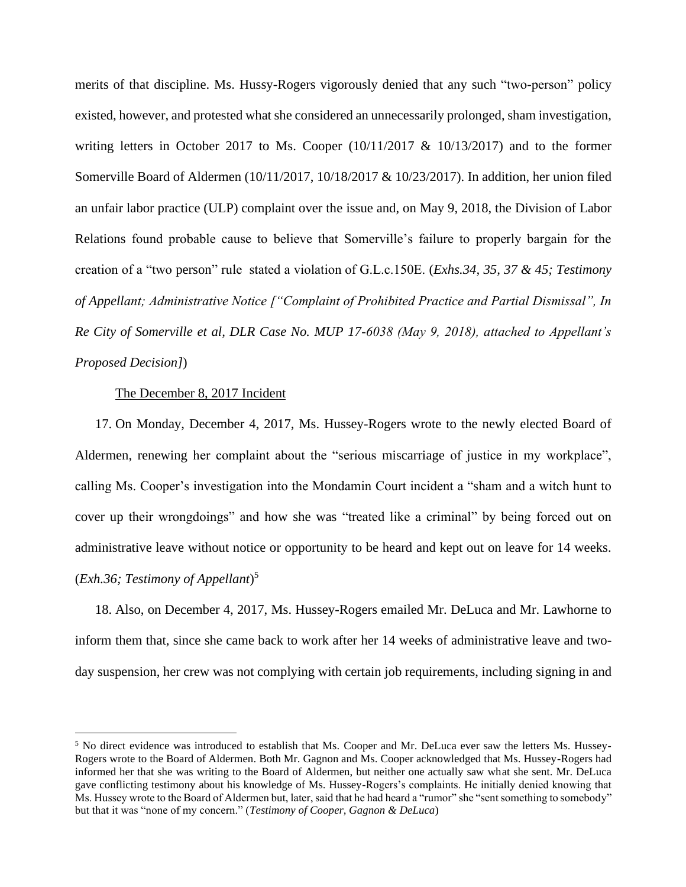merits of that discipline. Ms. Hussy-Rogers vigorously denied that any such "two-person" policy existed, however, and protested what she considered an unnecessarily prolonged, sham investigation, writing letters in October 2017 to Ms. Cooper  $(10/11/2017 \& 10/13/2017)$  and to the former Somerville Board of Aldermen (10/11/2017, 10/18/2017 & 10/23/2017). In addition, her union filed an unfair labor practice (ULP) complaint over the issue and, on May 9, 2018, the Division of Labor Relations found probable cause to believe that Somerville's failure to properly bargain for the creation of a "two person" rule stated a violation of G.L.c.150E. (*Exhs.34, 35, 37 & 45; Testimony of Appellant; Administrative Notice ["Complaint of Prohibited Practice and Partial Dismissal", In Re City of Somerville et al, DLR Case No. MUP 17-6038 (May 9, 2018), attached to Appellant's Proposed Decision]*)

## The December 8, 2017 Incident

17. On Monday, December 4, 2017, Ms. Hussey-Rogers wrote to the newly elected Board of Aldermen, renewing her complaint about the "serious miscarriage of justice in my workplace", calling Ms. Cooper's investigation into the Mondamin Court incident a "sham and a witch hunt to cover up their wrongdoings" and how she was "treated like a criminal" by being forced out on administrative leave without notice or opportunity to be heard and kept out on leave for 14 weeks. (*Exh.36; Testimony of Appellant*) 5

18. Also, on December 4, 2017, Ms. Hussey-Rogers emailed Mr. DeLuca and Mr. Lawhorne to inform them that, since she came back to work after her 14 weeks of administrative leave and twoday suspension, her crew was not complying with certain job requirements, including signing in and

<sup>5</sup> No direct evidence was introduced to establish that Ms. Cooper and Mr. DeLuca ever saw the letters Ms. Hussey-Rogers wrote to the Board of Aldermen. Both Mr. Gagnon and Ms. Cooper acknowledged that Ms. Hussey-Rogers had informed her that she was writing to the Board of Aldermen, but neither one actually saw what she sent. Mr. DeLuca gave conflicting testimony about his knowledge of Ms. Hussey-Rogers's complaints. He initially denied knowing that Ms. Hussey wrote to the Board of Aldermen but, later, said that he had heard a "rumor" she "sent something to somebody" but that it was "none of my concern." (*Testimony of Cooper, Gagnon & DeLuca*)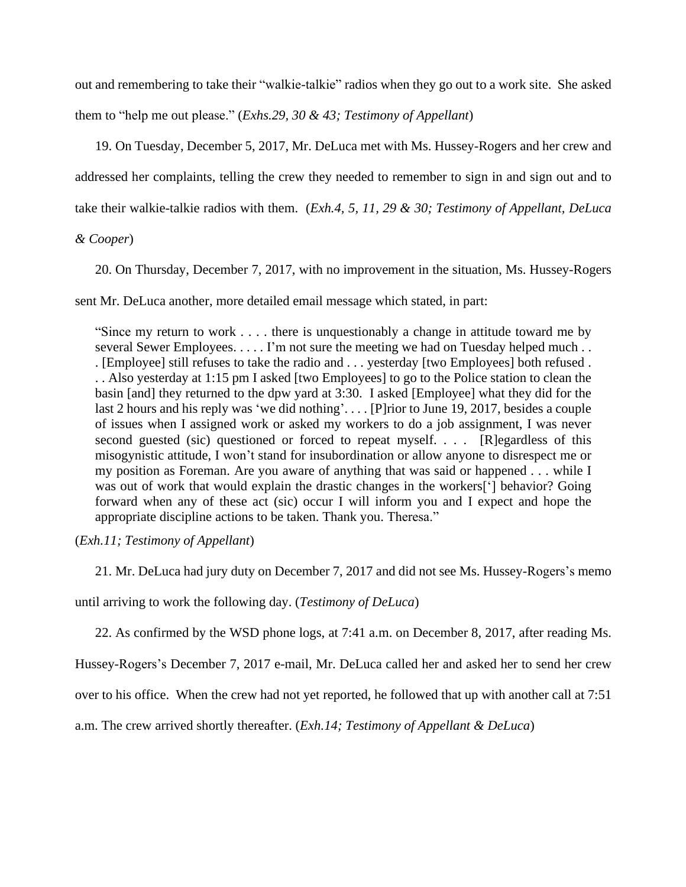out and remembering to take their "walkie-talkie" radios when they go out to a work site. She asked them to "help me out please." (*Exhs.29, 30 & 43; Testimony of Appellant*)

19. On Tuesday, December 5, 2017, Mr. DeLuca met with Ms. Hussey-Rogers and her crew and addressed her complaints, telling the crew they needed to remember to sign in and sign out and to take their walkie-talkie radios with them. (*Exh.4, 5, 11, 29 & 30; Testimony of Appellant, DeLuca*

*& Cooper*)

20. On Thursday, December 7, 2017, with no improvement in the situation, Ms. Hussey-Rogers

sent Mr. DeLuca another, more detailed email message which stated, in part:

"Since my return to work . . . . there is unquestionably a change in attitude toward me by several Sewer Employees. . . . . I'm not sure the meeting we had on Tuesday helped much . . . [Employee] still refuses to take the radio and . . . yesterday [two Employees] both refused . . . Also yesterday at 1:15 pm I asked [two Employees] to go to the Police station to clean the basin [and] they returned to the dpw yard at 3:30. I asked [Employee] what they did for the last 2 hours and his reply was 'we did nothing'. . . . [P]rior to June 19, 2017, besides a couple of issues when I assigned work or asked my workers to do a job assignment, I was never second guested (sic) questioned or forced to repeat myself. . . . [R]egardless of this misogynistic attitude, I won't stand for insubordination or allow anyone to disrespect me or my position as Foreman. Are you aware of anything that was said or happened . . . while I was out of work that would explain the drastic changes in the workers['] behavior? Going forward when any of these act (sic) occur I will inform you and I expect and hope the appropriate discipline actions to be taken. Thank you. Theresa."

(*Exh.11; Testimony of Appellant*)

21. Mr. DeLuca had jury duty on December 7, 2017 and did not see Ms. Hussey-Rogers's memo

until arriving to work the following day. (*Testimony of DeLuca*)

22. As confirmed by the WSD phone logs, at 7:41 a.m. on December 8, 2017, after reading Ms.

Hussey-Rogers's December 7, 2017 e-mail, Mr. DeLuca called her and asked her to send her crew

over to his office. When the crew had not yet reported, he followed that up with another call at 7:51

a.m. The crew arrived shortly thereafter. (*Exh.14; Testimony of Appellant & DeLuca*)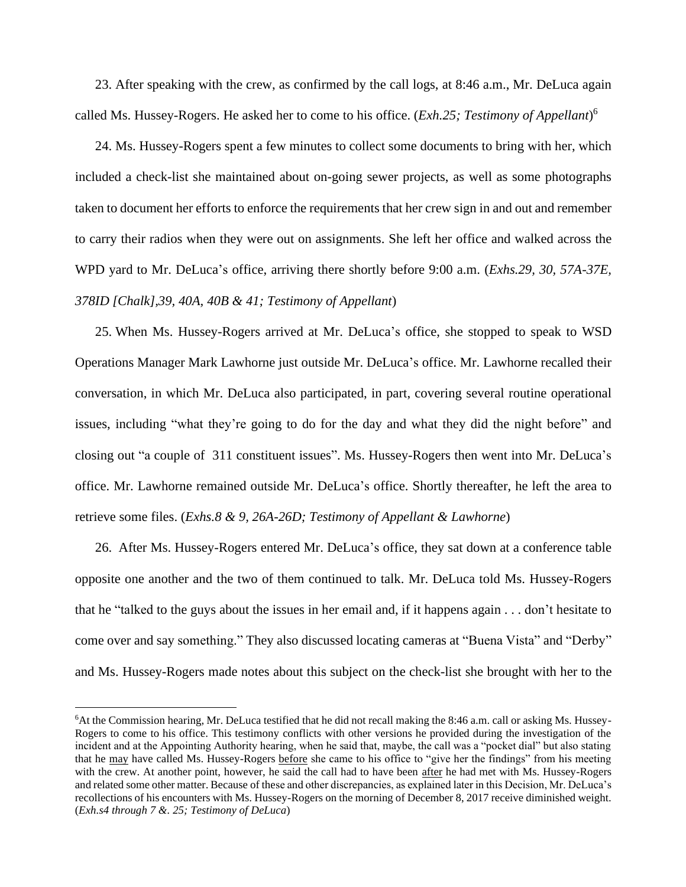23. After speaking with the crew, as confirmed by the call logs, at 8:46 a.m., Mr. DeLuca again called Ms. Hussey-Rogers. He asked her to come to his office. (*Exh.25; Testimony of Appellant*) 6

24. Ms. Hussey-Rogers spent a few minutes to collect some documents to bring with her, which included a check-list she maintained about on-going sewer projects, as well as some photographs taken to document her efforts to enforce the requirements that her crew sign in and out and remember to carry their radios when they were out on assignments. She left her office and walked across the WPD yard to Mr. DeLuca's office, arriving there shortly before 9:00 a.m. (*Exhs.29, 30, 57A-37E, 378ID [Chalk],39, 40A, 40B & 41; Testimony of Appellant*)

25. When Ms. Hussey-Rogers arrived at Mr. DeLuca's office, she stopped to speak to WSD Operations Manager Mark Lawhorne just outside Mr. DeLuca's office. Mr. Lawhorne recalled their conversation, in which Mr. DeLuca also participated, in part, covering several routine operational issues, including "what they're going to do for the day and what they did the night before" and closing out "a couple of 311 constituent issues". Ms. Hussey-Rogers then went into Mr. DeLuca's office. Mr. Lawhorne remained outside Mr. DeLuca's office. Shortly thereafter, he left the area to retrieve some files. (*Exhs.8 & 9, 26A-26D; Testimony of Appellant & Lawhorne*)

26. After Ms. Hussey-Rogers entered Mr. DeLuca's office, they sat down at a conference table opposite one another and the two of them continued to talk. Mr. DeLuca told Ms. Hussey-Rogers that he "talked to the guys about the issues in her email and, if it happens again . . . don't hesitate to come over and say something." They also discussed locating cameras at "Buena Vista" and "Derby" and Ms. Hussey-Rogers made notes about this subject on the check-list she brought with her to the

<sup>6</sup>At the Commission hearing, Mr. DeLuca testified that he did not recall making the 8:46 a.m. call or asking Ms. Hussey-Rogers to come to his office. This testimony conflicts with other versions he provided during the investigation of the incident and at the Appointing Authority hearing, when he said that, maybe, the call was a "pocket dial" but also stating that he may have called Ms. Hussey-Rogers before she came to his office to "give her the findings" from his meeting with the crew. At another point, however, he said the call had to have been after he had met with Ms. Hussey-Rogers and related some other matter. Because of these and other discrepancies, as explained later in this Decision, Mr. DeLuca's recollections of his encounters with Ms. Hussey-Rogers on the morning of December 8, 2017 receive diminished weight. (*Exh.s4 through 7 &. 25; Testimony of DeLuca*)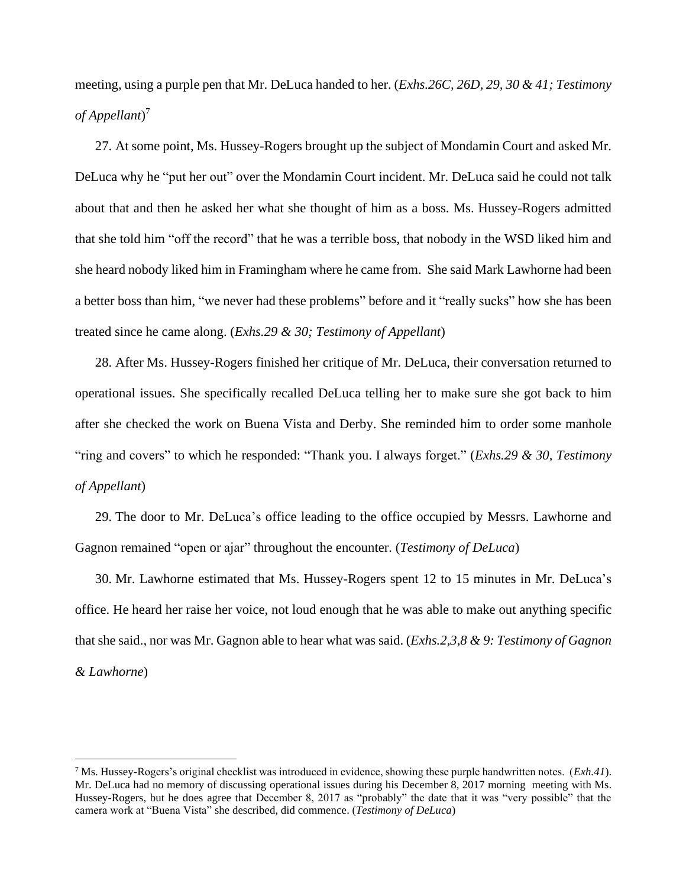meeting, using a purple pen that Mr. DeLuca handed to her. (*Exhs.26C, 26D, 29, 30 & 41; Testimony of Appellant*) 7

27. At some point, Ms. Hussey-Rogers brought up the subject of Mondamin Court and asked Mr. DeLuca why he "put her out" over the Mondamin Court incident. Mr. DeLuca said he could not talk about that and then he asked her what she thought of him as a boss. Ms. Hussey-Rogers admitted that she told him "off the record" that he was a terrible boss, that nobody in the WSD liked him and she heard nobody liked him in Framingham where he came from. She said Mark Lawhorne had been a better boss than him, "we never had these problems" before and it "really sucks" how she has been treated since he came along. (*Exhs.29 & 30; Testimony of Appellant*)

28. After Ms. Hussey-Rogers finished her critique of Mr. DeLuca, their conversation returned to operational issues. She specifically recalled DeLuca telling her to make sure she got back to him after she checked the work on Buena Vista and Derby. She reminded him to order some manhole "ring and covers" to which he responded: "Thank you. I always forget." (*Exhs.29 & 30, Testimony of Appellant*)

29. The door to Mr. DeLuca's office leading to the office occupied by Messrs. Lawhorne and Gagnon remained "open or ajar" throughout the encounter. (*Testimony of DeLuca*)

30. Mr. Lawhorne estimated that Ms. Hussey-Rogers spent 12 to 15 minutes in Mr. DeLuca's office. He heard her raise her voice, not loud enough that he was able to make out anything specific that she said., nor was Mr. Gagnon able to hear what was said. (*Exhs.2,3,8 & 9: Testimony of Gagnon & Lawhorne*)

<sup>7</sup> Ms. Hussey-Rogers's original checklist was introduced in evidence, showing these purple handwritten notes. (*Exh.41*). Mr. DeLuca had no memory of discussing operational issues during his December 8, 2017 morning meeting with Ms. Hussey-Rogers, but he does agree that December 8, 2017 as "probably" the date that it was "very possible" that the camera work at "Buena Vista" she described, did commence. (*Testimony of DeLuca*)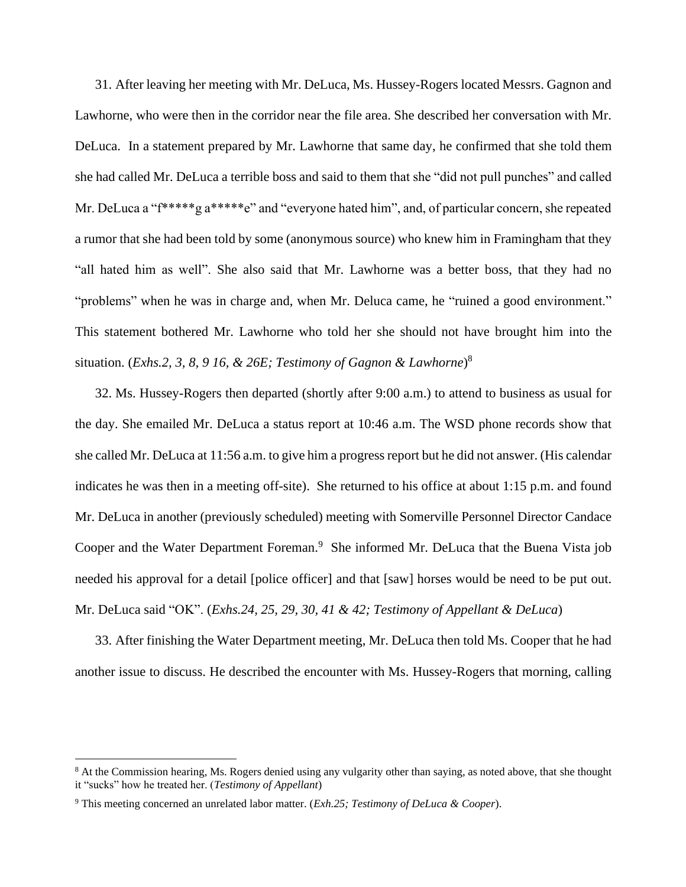31. After leaving her meeting with Mr. DeLuca, Ms. Hussey-Rogers located Messrs. Gagnon and Lawhorne, who were then in the corridor near the file area. She described her conversation with Mr. DeLuca. In a statement prepared by Mr. Lawhorne that same day, he confirmed that she told them she had called Mr. DeLuca a terrible boss and said to them that she "did not pull punches" and called Mr. DeLuca a "f<sup>\*\*\*\*\*</sup>g a<sup>\*\*\*\*\*</sup>e" and "everyone hated him", and, of particular concern, she repeated a rumor that she had been told by some (anonymous source) who knew him in Framingham that they "all hated him as well". She also said that Mr. Lawhorne was a better boss, that they had no "problems" when he was in charge and, when Mr. Deluca came, he "ruined a good environment." This statement bothered Mr. Lawhorne who told her she should not have brought him into the situation. (*Exhs.2, 3, 8, 9 16, & 26E; Testimony of Gagnon & Lawhorne*) 8

32. Ms. Hussey-Rogers then departed (shortly after 9:00 a.m.) to attend to business as usual for the day. She emailed Mr. DeLuca a status report at 10:46 a.m. The WSD phone records show that she called Mr. DeLuca at 11:56 a.m. to give him a progress report but he did not answer. (His calendar indicates he was then in a meeting off-site). She returned to his office at about 1:15 p.m. and found Mr. DeLuca in another (previously scheduled) meeting with Somerville Personnel Director Candace Cooper and the Water Department Foreman.<sup>9</sup> She informed Mr. DeLuca that the Buena Vista job needed his approval for a detail [police officer] and that [saw] horses would be need to be put out. Mr. DeLuca said "OK". (*Exhs.24, 25, 29, 30, 41 & 42; Testimony of Appellant & DeLuca*)

33. After finishing the Water Department meeting, Mr. DeLuca then told Ms. Cooper that he had another issue to discuss. He described the encounter with Ms. Hussey-Rogers that morning, calling

<sup>&</sup>lt;sup>8</sup> At the Commission hearing, Ms. Rogers denied using any vulgarity other than saying, as noted above, that she thought it "sucks" how he treated her. (*Testimony of Appellant*)

<sup>9</sup> This meeting concerned an unrelated labor matter. (*Exh.25; Testimony of DeLuca & Cooper*).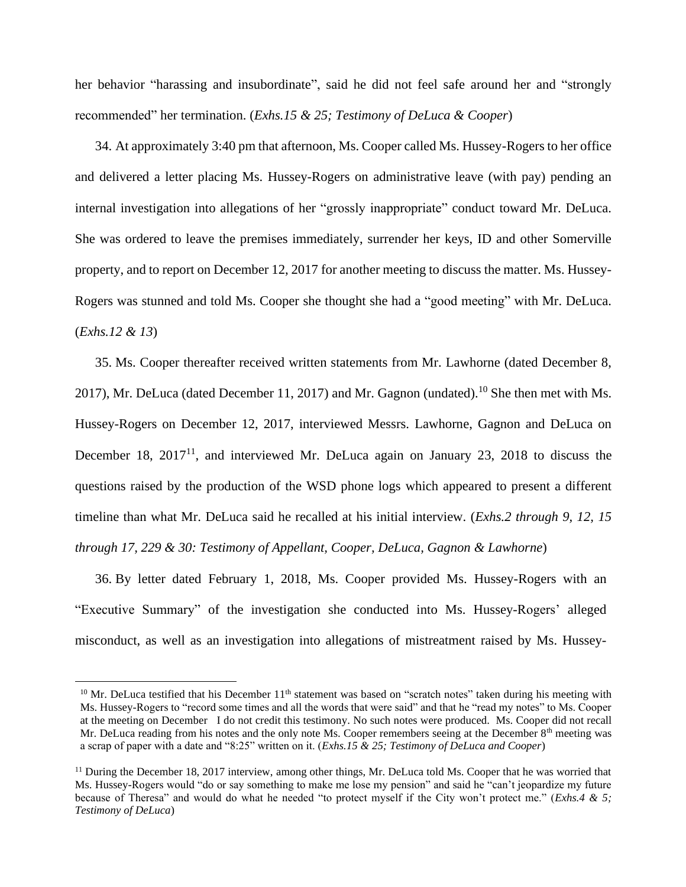her behavior "harassing and insubordinate", said he did not feel safe around her and "strongly recommended" her termination. (*Exhs.15 & 25; Testimony of DeLuca & Cooper*)

34. At approximately 3:40 pm that afternoon, Ms. Cooper called Ms. Hussey-Rogers to her office and delivered a letter placing Ms. Hussey-Rogers on administrative leave (with pay) pending an internal investigation into allegations of her "grossly inappropriate" conduct toward Mr. DeLuca. She was ordered to leave the premises immediately, surrender her keys, ID and other Somerville property, and to report on December 12, 2017 for another meeting to discuss the matter. Ms. Hussey-Rogers was stunned and told Ms. Cooper she thought she had a "good meeting" with Mr. DeLuca. (*Exhs.12 & 13*)

35. Ms. Cooper thereafter received written statements from Mr. Lawhorne (dated December 8, 2017), Mr. DeLuca (dated December 11, 2017) and Mr. Gagnon (undated).<sup>10</sup> She then met with Ms. Hussey-Rogers on December 12, 2017, interviewed Messrs. Lawhorne, Gagnon and DeLuca on December 18, 2017<sup>11</sup>, and interviewed Mr. DeLuca again on January 23, 2018 to discuss the questions raised by the production of the WSD phone logs which appeared to present a different timeline than what Mr. DeLuca said he recalled at his initial interview. (*Exhs.2 through 9, 12, 15 through 17, 229 & 30: Testimony of Appellant, Cooper, DeLuca, Gagnon & Lawhorne*)

36. By letter dated February 1, 2018, Ms. Cooper provided Ms. Hussey-Rogers with an "Executive Summary" of the investigation she conducted into Ms. Hussey-Rogers' alleged misconduct, as well as an investigation into allegations of mistreatment raised by Ms. Hussey-

<sup>&</sup>lt;sup>10</sup> Mr. DeLuca testified that his December  $11<sup>th</sup>$  statement was based on "scratch notes" taken during his meeting with Ms. Hussey-Rogers to "record some times and all the words that were said" and that he "read my notes" to Ms. Cooper at the meeting on December I do not credit this testimony. No such notes were produced. Ms. Cooper did not recall Mr. DeLuca reading from his notes and the only note Ms. Cooper remembers seeing at the December 8<sup>th</sup> meeting was a scrap of paper with a date and "8:25" written on it. (*Exhs.15 & 25; Testimony of DeLuca and Cooper*)

 $11$  During the December 18, 2017 interview, among other things, Mr. DeLuca told Ms. Cooper that he was worried that Ms. Hussey-Rogers would "do or say something to make me lose my pension" and said he "can't jeopardize my future because of Theresa" and would do what he needed "to protect myself if the City won't protect me." (*Exhs.4 & 5; Testimony of DeLuca*)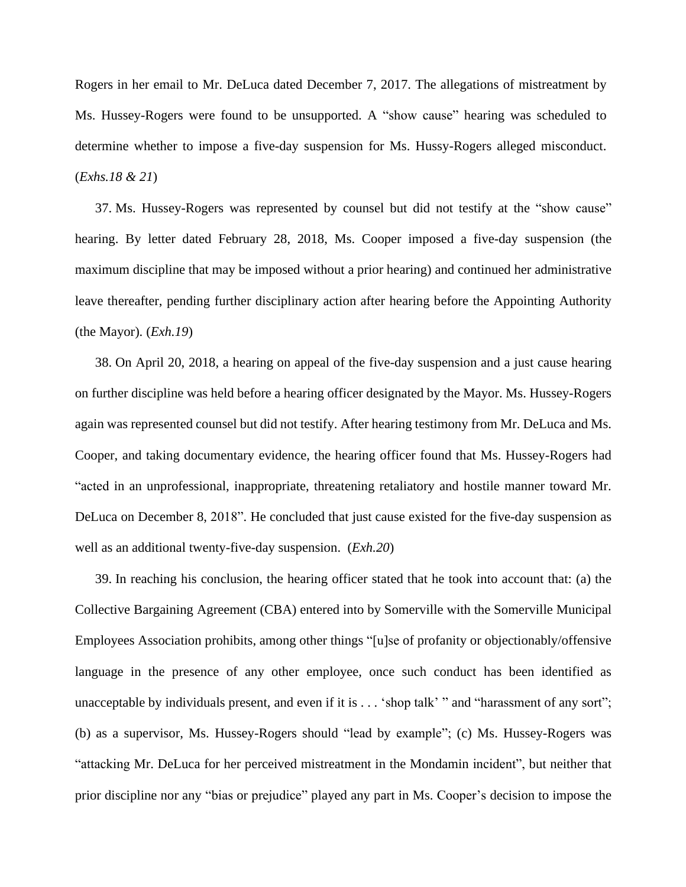Rogers in her email to Mr. DeLuca dated December 7, 2017. The allegations of mistreatment by Ms. Hussey-Rogers were found to be unsupported. A "show cause" hearing was scheduled to determine whether to impose a five-day suspension for Ms. Hussy-Rogers alleged misconduct. (*Exhs.18 & 21*)

37. Ms. Hussey-Rogers was represented by counsel but did not testify at the "show cause" hearing. By letter dated February 28, 2018, Ms. Cooper imposed a five-day suspension (the maximum discipline that may be imposed without a prior hearing) and continued her administrative leave thereafter, pending further disciplinary action after hearing before the Appointing Authority (the Mayor). (*Exh.19*)

38. On April 20, 2018, a hearing on appeal of the five-day suspension and a just cause hearing on further discipline was held before a hearing officer designated by the Mayor. Ms. Hussey-Rogers again was represented counsel but did not testify. After hearing testimony from Mr. DeLuca and Ms. Cooper, and taking documentary evidence, the hearing officer found that Ms. Hussey-Rogers had "acted in an unprofessional, inappropriate, threatening retaliatory and hostile manner toward Mr. DeLuca on December 8, 2018". He concluded that just cause existed for the five-day suspension as well as an additional twenty-five-day suspension. (*Exh.20*)

39. In reaching his conclusion, the hearing officer stated that he took into account that: (a) the Collective Bargaining Agreement (CBA) entered into by Somerville with the Somerville Municipal Employees Association prohibits, among other things "[u]se of profanity or objectionably/offensive language in the presence of any other employee, once such conduct has been identified as unacceptable by individuals present, and even if it is . . . 'shop talk' " and "harassment of any sort"; (b) as a supervisor, Ms. Hussey-Rogers should "lead by example"; (c) Ms. Hussey-Rogers was "attacking Mr. DeLuca for her perceived mistreatment in the Mondamin incident", but neither that prior discipline nor any "bias or prejudice" played any part in Ms. Cooper's decision to impose the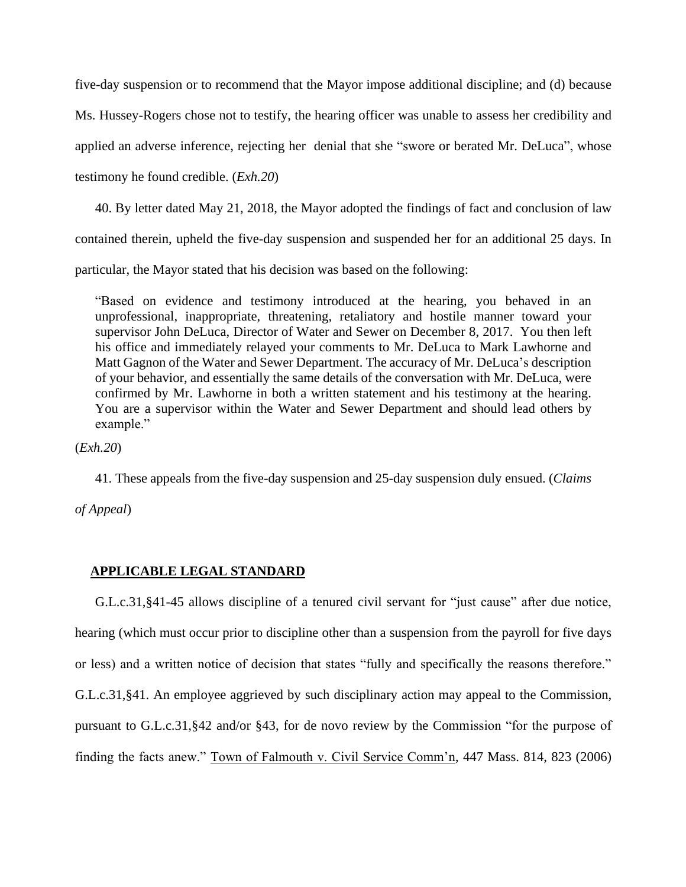five-day suspension or to recommend that the Mayor impose additional discipline; and (d) because Ms. Hussey-Rogers chose not to testify, the hearing officer was unable to assess her credibility and applied an adverse inference, rejecting her denial that she "swore or berated Mr. DeLuca", whose testimony he found credible. (*Exh.20*)

40. By letter dated May 21, 2018, the Mayor adopted the findings of fact and conclusion of law contained therein, upheld the five-day suspension and suspended her for an additional 25 days. In

particular, the Mayor stated that his decision was based on the following:

"Based on evidence and testimony introduced at the hearing, you behaved in an unprofessional, inappropriate, threatening, retaliatory and hostile manner toward your supervisor John DeLuca, Director of Water and Sewer on December 8, 2017. You then left his office and immediately relayed your comments to Mr. DeLuca to Mark Lawhorne and Matt Gagnon of the Water and Sewer Department. The accuracy of Mr. DeLuca's description of your behavior, and essentially the same details of the conversation with Mr. DeLuca, were confirmed by Mr. Lawhorne in both a written statement and his testimony at the hearing. You are a supervisor within the Water and Sewer Department and should lead others by example."

(*Exh.20*)

41. These appeals from the five-day suspension and 25-day suspension duly ensued. (*Claims*

*of Appeal*)

# **APPLICABLE LEGAL STANDARD**

G.L.c.31,§41-45 allows discipline of a tenured civil servant for "just cause" after due notice, hearing (which must occur prior to discipline other than a suspension from the payroll for five days or less) and a written notice of decision that states "fully and specifically the reasons therefore." G.L.c.31,§41. An employee aggrieved by such disciplinary action may appeal to the Commission, pursuant to G.L.c.31,§42 and/or §43, for de novo review by the Commission "for the purpose of finding the facts anew." Town of Falmouth v. Civil Service Comm'n, 447 Mass. 814, 823 (2006)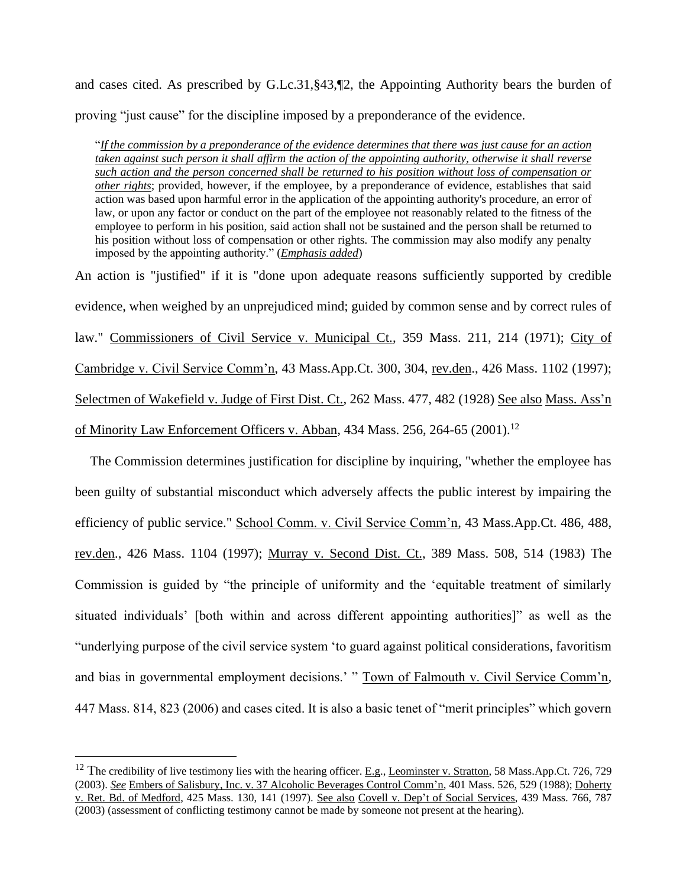and cases cited. As prescribed by G.Lc.31,§43,¶2, the Appointing Authority bears the burden of proving "just cause" for the discipline imposed by a preponderance of the evidence.

"*If the commission by a preponderance of the evidence determines that there was just cause for an action taken against such person it shall affirm the action of the appointing authority, otherwise it shall reverse such action and the person concerned shall be returned to his position without loss of compensation or other rights*; provided, however, if the employee, by a preponderance of evidence, establishes that said action was based upon harmful error in the application of the appointing authority's procedure, an error of law, or upon any factor or conduct on the part of the employee not reasonably related to the fitness of the employee to perform in his position, said action shall not be sustained and the person shall be returned to his position without loss of compensation or other rights. The commission may also modify any penalty imposed by the appointing authority." (*Emphasis added*)

An action is "justified" if it is "done upon adequate reasons sufficiently supported by credible evidence, when weighed by an unprejudiced mind; guided by common sense and by correct rules of law." Commissioners of Civil Service v. Municipal Ct., 359 Mass. 211, 214 (1971); City of Cambridge v. Civil Service Comm'n, 43 Mass.App.Ct. 300, 304, rev.den., 426 Mass. 1102 (1997); Selectmen of Wakefield v. Judge of First Dist. Ct., 262 Mass. 477, 482 (1928) See also Mass. Ass'n of Minority Law Enforcement Officers v. Abban, 434 Mass. 256, 264-65 (2001).<sup>12</sup>

The Commission determines justification for discipline by inquiring, "whether the employee has been guilty of substantial misconduct which adversely affects the public interest by impairing the efficiency of public service." School Comm. v. Civil Service Comm'n, 43 Mass.App.Ct. 486, 488, rev.den., 426 Mass. 1104 (1997); Murray v. Second Dist. Ct., 389 Mass. 508, 514 (1983) The Commission is guided by "the principle of uniformity and the 'equitable treatment of similarly situated individuals' [both within and across different appointing authorities]" as well as the "underlying purpose of the civil service system 'to guard against political considerations, favoritism and bias in governmental employment decisions.' " Town of Falmouth v. Civil Service Comm'n, 447 Mass. 814, 823 (2006) and cases cited. It is also a basic tenet of "merit principles" which govern

<sup>&</sup>lt;sup>12</sup> The credibility of live testimony lies with the hearing officer. E.g., Leominster v. Stratton, 58 Mass.App.Ct. 726, 729 (2003). *See* Embers of Salisbury, Inc. v. 37 Alcoholic Beverages Control Comm'n, 401 Mass. 526, 529 (1988); Doherty v. Ret. Bd. of Medford, 425 Mass. 130, 141 (1997). See also Covell v. Dep't of Social Services, 439 Mass. 766, 787 (2003) (assessment of conflicting testimony cannot be made by someone not present at the hearing).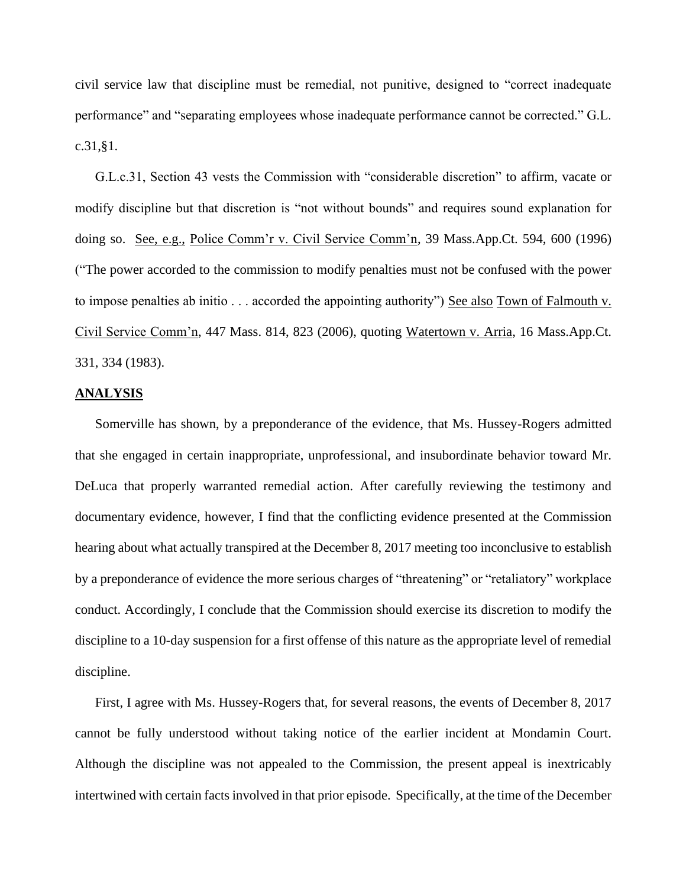civil service law that discipline must be remedial, not punitive, designed to "correct inadequate performance" and "separating employees whose inadequate performance cannot be corrected." G.L. c.31,§1.

G.L.c.31, Section 43 vests the Commission with "considerable discretion" to affirm, vacate or modify discipline but that discretion is "not without bounds" and requires sound explanation for doing so. See, e.g., Police Comm'r v. Civil Service Comm'n, 39 Mass.App.Ct. 594, 600 (1996) ("The power accorded to the commission to modify penalties must not be confused with the power to impose penalties ab initio . . . accorded the appointing authority") See also Town of Falmouth v. Civil Service Comm'n, 447 Mass. 814, 823 (2006), quoting Watertown v. Arria, 16 Mass.App.Ct. 331, 334 (1983).

### **ANALYSIS**

Somerville has shown, by a preponderance of the evidence, that Ms. Hussey-Rogers admitted that she engaged in certain inappropriate, unprofessional, and insubordinate behavior toward Mr. DeLuca that properly warranted remedial action. After carefully reviewing the testimony and documentary evidence, however, I find that the conflicting evidence presented at the Commission hearing about what actually transpired at the December 8, 2017 meeting too inconclusive to establish by a preponderance of evidence the more serious charges of "threatening" or "retaliatory" workplace conduct. Accordingly, I conclude that the Commission should exercise its discretion to modify the discipline to a 10-day suspension for a first offense of this nature as the appropriate level of remedial discipline.

First, I agree with Ms. Hussey-Rogers that, for several reasons, the events of December 8, 2017 cannot be fully understood without taking notice of the earlier incident at Mondamin Court. Although the discipline was not appealed to the Commission, the present appeal is inextricably intertwined with certain facts involved in that prior episode. Specifically, at the time of the December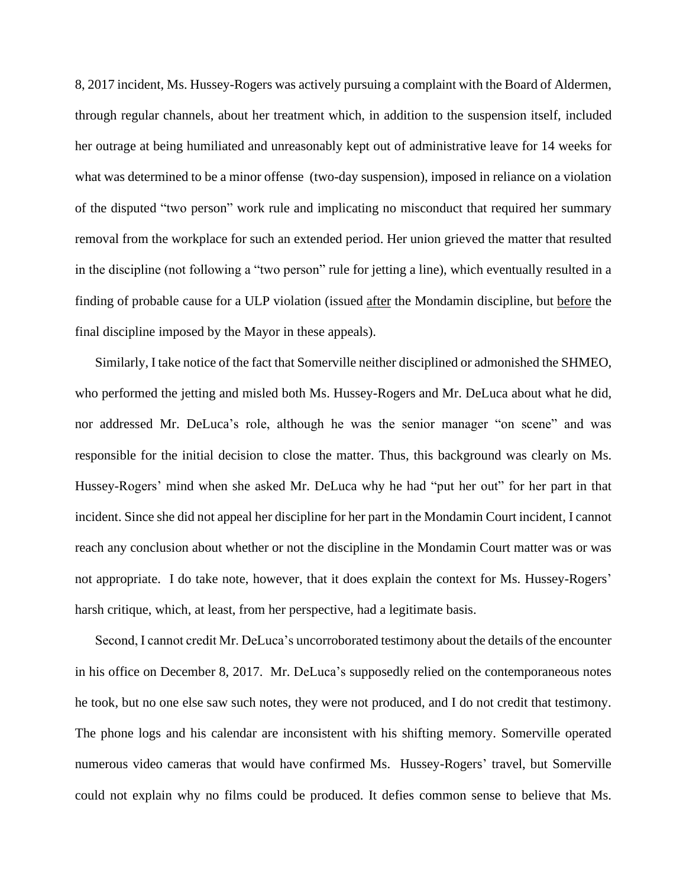8, 2017 incident, Ms. Hussey-Rogers was actively pursuing a complaint with the Board of Aldermen, through regular channels, about her treatment which, in addition to the suspension itself, included her outrage at being humiliated and unreasonably kept out of administrative leave for 14 weeks for what was determined to be a minor offense (two-day suspension), imposed in reliance on a violation of the disputed "two person" work rule and implicating no misconduct that required her summary removal from the workplace for such an extended period. Her union grieved the matter that resulted in the discipline (not following a "two person" rule for jetting a line), which eventually resulted in a finding of probable cause for a ULP violation (issued after the Mondamin discipline, but before the final discipline imposed by the Mayor in these appeals).

Similarly, I take notice of the fact that Somerville neither disciplined or admonished the SHMEO, who performed the jetting and misled both Ms. Hussey-Rogers and Mr. DeLuca about what he did, nor addressed Mr. DeLuca's role, although he was the senior manager "on scene" and was responsible for the initial decision to close the matter. Thus, this background was clearly on Ms. Hussey-Rogers' mind when she asked Mr. DeLuca why he had "put her out" for her part in that incident. Since she did not appeal her discipline for her part in the Mondamin Court incident, I cannot reach any conclusion about whether or not the discipline in the Mondamin Court matter was or was not appropriate. I do take note, however, that it does explain the context for Ms. Hussey-Rogers' harsh critique, which, at least, from her perspective, had a legitimate basis.

Second, I cannot credit Mr. DeLuca's uncorroborated testimony about the details of the encounter in his office on December 8, 2017. Mr. DeLuca's supposedly relied on the contemporaneous notes he took, but no one else saw such notes, they were not produced, and I do not credit that testimony. The phone logs and his calendar are inconsistent with his shifting memory. Somerville operated numerous video cameras that would have confirmed Ms. Hussey-Rogers' travel, but Somerville could not explain why no films could be produced. It defies common sense to believe that Ms.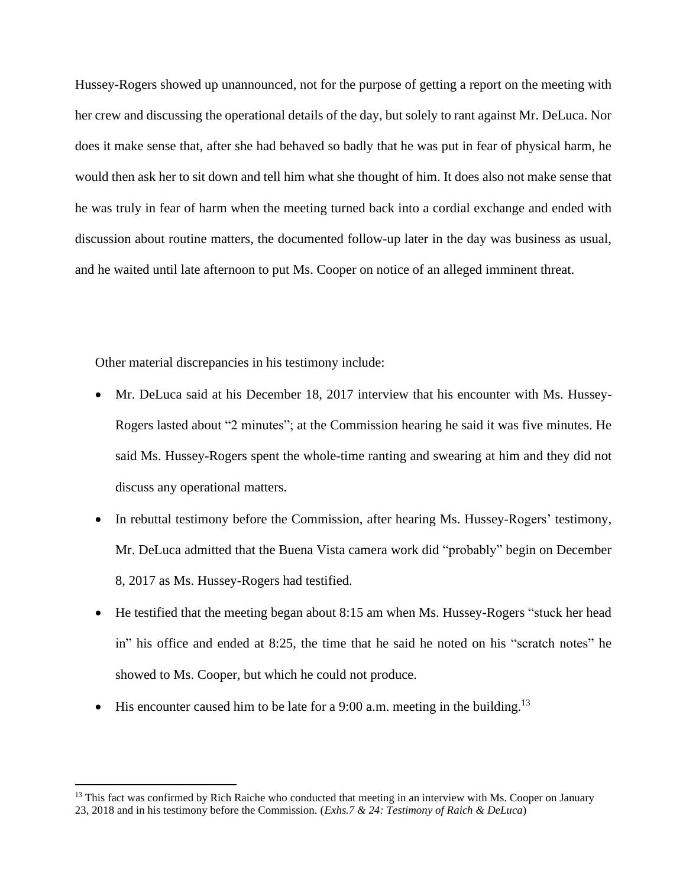Hussey-Rogers showed up unannounced, not for the purpose of getting a report on the meeting with her crew and discussing the operational details of the day, but solely to rant against Mr. DeLuca. Nor does it make sense that, after she had behaved so badly that he was put in fear of physical harm, he would then ask her to sit down and tell him what she thought of him. It does also not make sense that he was truly in fear of harm when the meeting turned back into a cordial exchange and ended with discussion about routine matters, the documented follow-up later in the day was business as usual, and he waited until late afternoon to put Ms. Cooper on notice of an alleged imminent threat.

Other material discrepancies in his testimony include:

- Mr. DeLuca said at his December 18, 2017 interview that his encounter with Ms. Hussey-Rogers lasted about "2 minutes"; at the Commission hearing he said it was five minutes. He said Ms. Hussey-Rogers spent the whole-time ranting and swearing at him and they did not discuss any operational matters.
- In rebuttal testimony before the Commission, after hearing Ms. Hussey-Rogers' testimony, Mr. DeLuca admitted that the Buena Vista camera work did "probably" begin on December 8, 2017 as Ms. Hussey-Rogers had testified.
- He testified that the meeting began about 8:15 am when Ms. Hussey-Rogers "stuck her head in" his office and ended at 8:25, the time that he said he noted on his "scratch notes" he showed to Ms. Cooper, but which he could not produce.
- His encounter caused him to be late for a 9:00 a.m. meeting in the building.<sup>13</sup>

<sup>&</sup>lt;sup>13</sup> This fact was confirmed by Rich Raiche who conducted that meeting in an interview with Ms. Cooper on January 23, 2018 and in his testimony before the Commission. (*Exhs.7 & 24: Testimony of Raich & DeLuca*)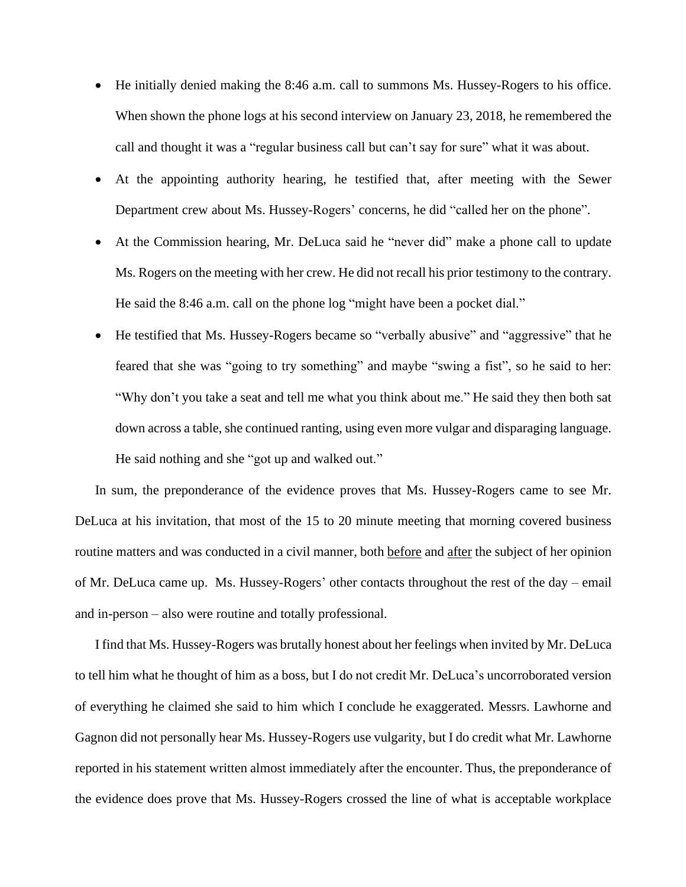- He initially denied making the 8:46 a.m. call to summons Ms. Hussey-Rogers to his office. When shown the phone logs at his second interview on January 23, 2018, he remembered the call and thought it was a "regular business call but can't say for sure" what it was about.
- At the appointing authority hearing, he testified that, after meeting with the Sewer Department crew about Ms. Hussey-Rogers' concerns, he did "called her on the phone".
- At the Commission hearing, Mr. DeLuca said he "never did" make a phone call to update Ms. Rogers on the meeting with her crew. He did not recall his prior testimony to the contrary. He said the 8:46 a.m. call on the phone log "might have been a pocket dial."
- He testified that Ms. Hussey-Rogers became so "verbally abusive" and "aggressive" that he feared that she was "going to try something" and maybe "swing a fist", so he said to her: "Why don't you take a seat and tell me what you think about me." He said they then both sat down across a table, she continued ranting, using even more vulgar and disparaging language. He said nothing and she "got up and walked out."

In sum, the preponderance of the evidence proves that Ms. Hussey-Rogers came to see Mr. DeLuca at his invitation, that most of the 15 to 20 minute meeting that morning covered business routine matters and was conducted in a civil manner, both before and after the subject of her opinion of Mr. DeLuca came up. Ms. Hussey-Rogers' other contacts throughout the rest of the day – email and in-person – also were routine and totally professional.

I find that Ms. Hussey-Rogers was brutally honest about her feelings when invited by Mr. DeLuca to tell him what he thought of him as a boss, but I do not credit Mr. DeLuca's uncorroborated version of everything he claimed she said to him which I conclude he exaggerated. Messrs. Lawhorne and Gagnon did not personally hear Ms. Hussey-Rogers use vulgarity, but I do credit what Mr. Lawhorne reported in his statement written almost immediately after the encounter. Thus, the preponderance of the evidence does prove that Ms. Hussey-Rogers crossed the line of what is acceptable workplace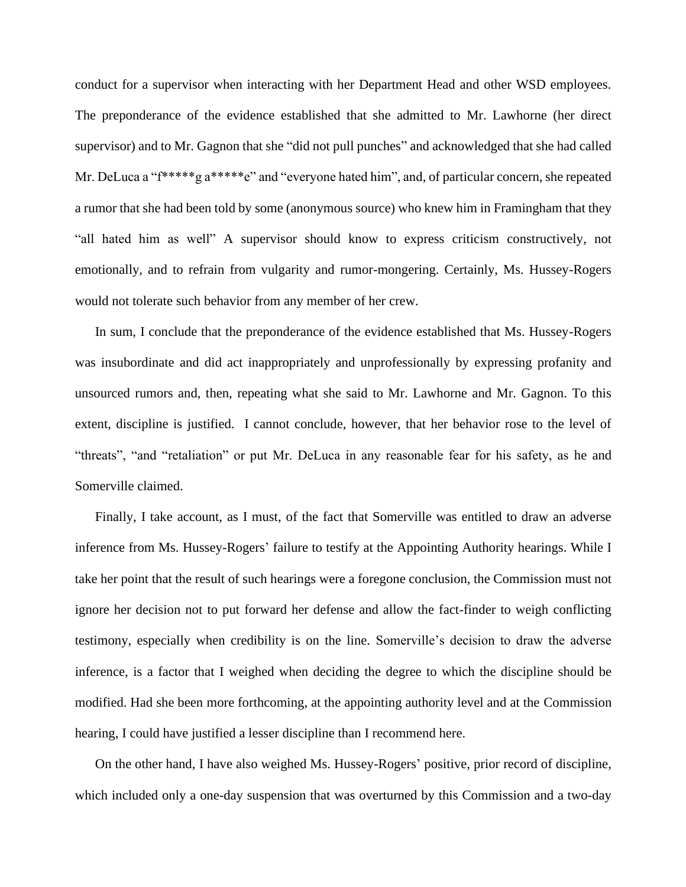conduct for a supervisor when interacting with her Department Head and other WSD employees. The preponderance of the evidence established that she admitted to Mr. Lawhorne (her direct supervisor) and to Mr. Gagnon that she "did not pull punches" and acknowledged that she had called Mr. DeLuca a "f\*\*\*\*\*g a\*\*\*\*\*e" and "everyone hated him", and, of particular concern, she repeated a rumor that she had been told by some (anonymous source) who knew him in Framingham that they "all hated him as well" A supervisor should know to express criticism constructively, not emotionally, and to refrain from vulgarity and rumor-mongering. Certainly, Ms. Hussey-Rogers would not tolerate such behavior from any member of her crew.

In sum, I conclude that the preponderance of the evidence established that Ms. Hussey-Rogers was insubordinate and did act inappropriately and unprofessionally by expressing profanity and unsourced rumors and, then, repeating what she said to Mr. Lawhorne and Mr. Gagnon. To this extent, discipline is justified. I cannot conclude, however, that her behavior rose to the level of "threats", "and "retaliation" or put Mr. DeLuca in any reasonable fear for his safety, as he and Somerville claimed.

Finally, I take account, as I must, of the fact that Somerville was entitled to draw an adverse inference from Ms. Hussey-Rogers' failure to testify at the Appointing Authority hearings. While I take her point that the result of such hearings were a foregone conclusion, the Commission must not ignore her decision not to put forward her defense and allow the fact-finder to weigh conflicting testimony, especially when credibility is on the line. Somerville's decision to draw the adverse inference, is a factor that I weighed when deciding the degree to which the discipline should be modified. Had she been more forthcoming, at the appointing authority level and at the Commission hearing, I could have justified a lesser discipline than I recommend here.

On the other hand, I have also weighed Ms. Hussey-Rogers' positive, prior record of discipline, which included only a one-day suspension that was overturned by this Commission and a two-day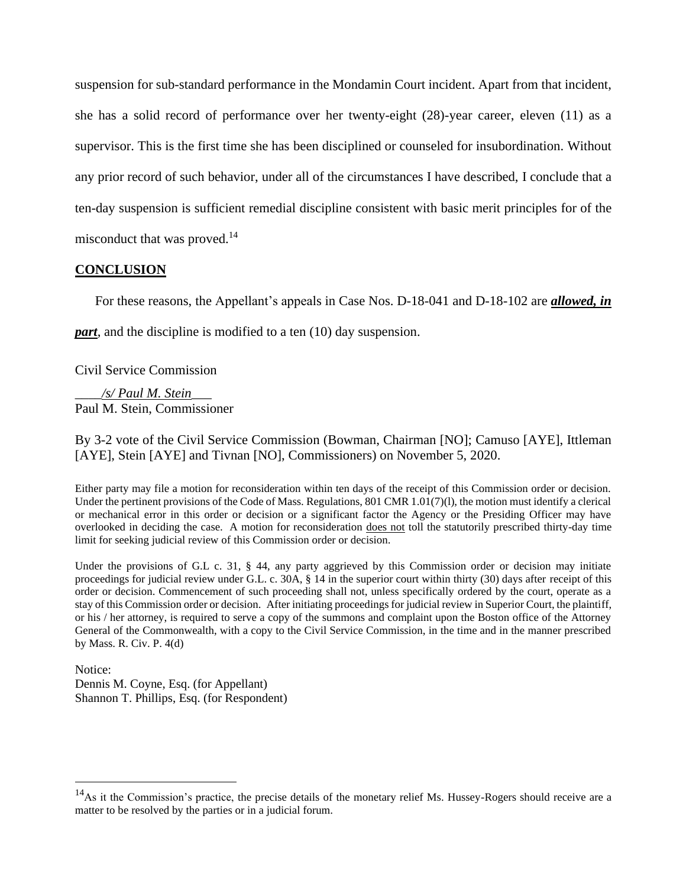suspension for sub-standard performance in the Mondamin Court incident. Apart from that incident, she has a solid record of performance over her twenty-eight (28)-year career, eleven (11) as a supervisor. This is the first time she has been disciplined or counseled for insubordination. Without any prior record of such behavior, under all of the circumstances I have described, I conclude that a ten-day suspension is sufficient remedial discipline consistent with basic merit principles for of the misconduct that was proved. 14

### **CONCLUSION**

For these reasons, the Appellant's appeals in Case Nos. D-18-041 and D-18-102 are *allowed, in* 

*part*, and the discipline is modified to a ten (10) day suspension.

Civil Service Commission

\_\_\_\_*/s/ Paul M. Stein*\_\_\_ Paul M. Stein, Commissioner

By 3-2 vote of the Civil Service Commission (Bowman, Chairman [NO]; Camuso [AYE], Ittleman [AYE], Stein [AYE] and Tivnan [NO], Commissioners) on November 5, 2020.

Either party may file a motion for reconsideration within ten days of the receipt of this Commission order or decision. Under the pertinent provisions of the Code of Mass. Regulations, 801 CMR 1.01(7)(l), the motion must identify a clerical or mechanical error in this order or decision or a significant factor the Agency or the Presiding Officer may have overlooked in deciding the case. A motion for reconsideration does not toll the statutorily prescribed thirty-day time limit for seeking judicial review of this Commission order or decision.

Under the provisions of G.L c. 31, § 44, any party aggrieved by this Commission order or decision may initiate proceedings for judicial review under G.L. c. 30A, § 14 in the superior court within thirty (30) days after receipt of this order or decision. Commencement of such proceeding shall not, unless specifically ordered by the court, operate as a stay of this Commission order or decision. After initiating proceedings for judicial review in Superior Court, the plaintiff, or his / her attorney, is required to serve a copy of the summons and complaint upon the Boston office of the Attorney General of the Commonwealth, with a copy to the Civil Service Commission, in the time and in the manner prescribed by Mass. R. Civ. P. 4(d)

Notice:

Dennis M. Coyne, Esq. (for Appellant) Shannon T. Phillips, Esq. (for Respondent)

 $14$ As it the Commission's practice, the precise details of the monetary relief Ms. Hussey-Rogers should receive are a matter to be resolved by the parties or in a judicial forum.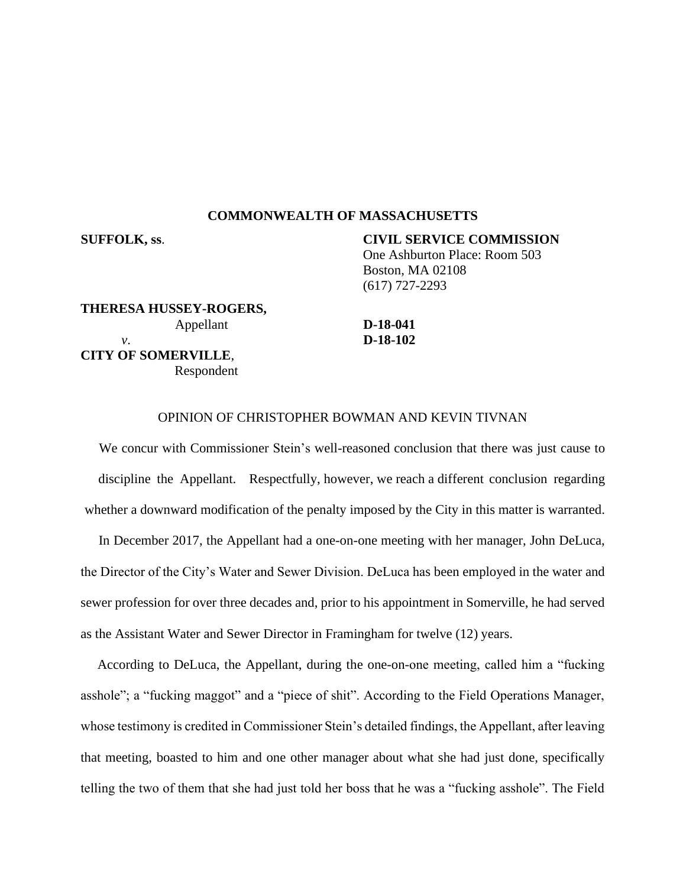#### **COMMONWEALTH OF MASSACHUSETTS**

**SUFFOLK, ss**. **CIVIL SERVICE COMMISSION** One Ashburton Place: Room 503 Boston, MA 02108 (617) 727-2293

**THERESA HUSSEY-ROGERS,** Appellant **D-18-041** *v*. **D-18-102 CITY OF SOMERVILLE**, Respondent

#### OPINION OF CHRISTOPHER BOWMAN AND KEVIN TIVNAN

We concur with Commissioner Stein's well-reasoned conclusion that there was just cause to discipline the Appellant. Respectfully, however, we reach a different conclusion regarding whether a downward modification of the penalty imposed by the City in this matter is warranted.

In December 2017, the Appellant had a one-on-one meeting with her manager, John DeLuca, the Director of the City's Water and Sewer Division. DeLuca has been employed in the water and sewer profession for over three decades and, prior to his appointment in Somerville, he had served as the Assistant Water and Sewer Director in Framingham for twelve (12) years.

According to DeLuca, the Appellant, during the one-on-one meeting, called him a "fucking asshole"; a "fucking maggot" and a "piece of shit". According to the Field Operations Manager, whose testimony is credited in Commissioner Stein's detailed findings, the Appellant, after leaving that meeting, boasted to him and one other manager about what she had just done, specifically telling the two of them that she had just told her boss that he was a "fucking asshole". The Field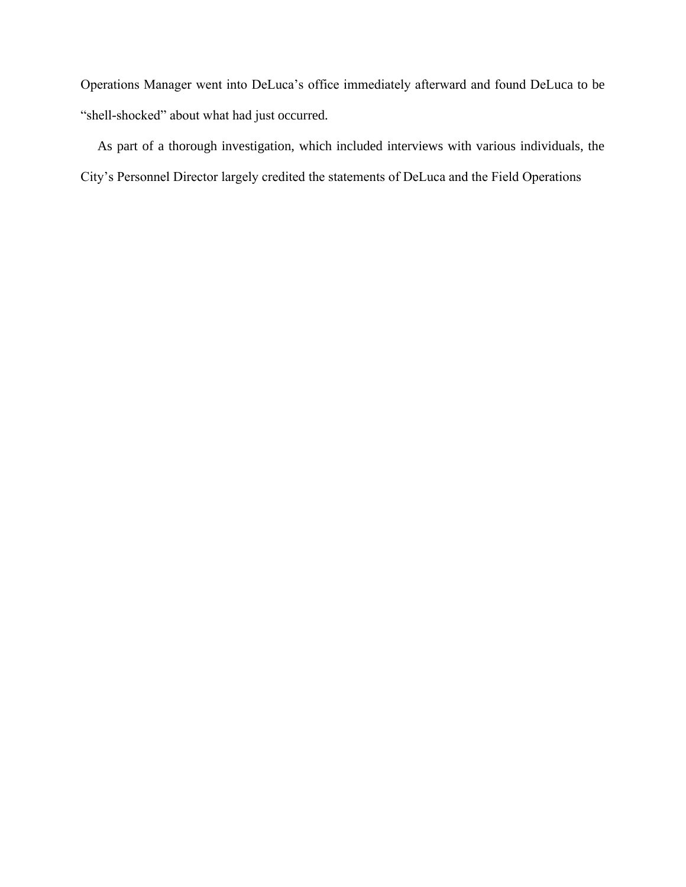Operations Manager went into DeLuca's office immediately afterward and found DeLuca to be "shell-shocked" about what had just occurred.

As part of a thorough investigation, which included interviews with various individuals, the City's Personnel Director largely credited the statements of DeLuca and the Field Operations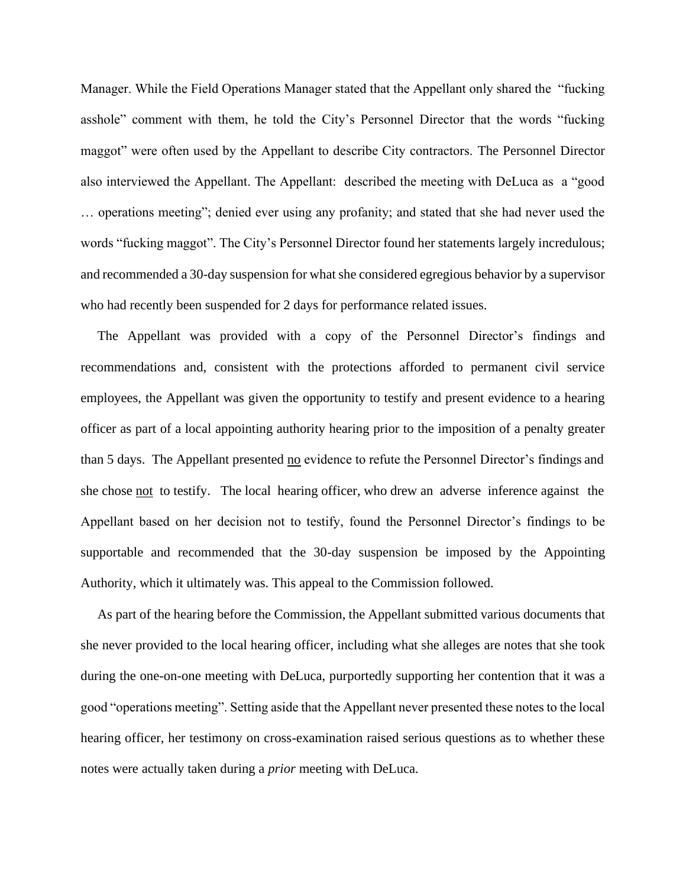Manager. While the Field Operations Manager stated that the Appellant only shared the "fucking asshole" comment with them, he told the City's Personnel Director that the words "fucking maggot" were often used by the Appellant to describe City contractors. The Personnel Director also interviewed the Appellant. The Appellant: described the meeting with DeLuca as a "good … operations meeting"; denied ever using any profanity; and stated that she had never used the words "fucking maggot". The City's Personnel Director found her statements largely incredulous; and recommended a 30-day suspension for what she considered egregious behavior by a supervisor who had recently been suspended for 2 days for performance related issues.

The Appellant was provided with a copy of the Personnel Director's findings and recommendations and, consistent with the protections afforded to permanent civil service employees, the Appellant was given the opportunity to testify and present evidence to a hearing officer as part of a local appointing authority hearing prior to the imposition of a penalty greater than 5 days. The Appellant presented no evidence to refute the Personnel Director's findings and she chose not to testify. The local hearing officer, who drew an adverse inference against the Appellant based on her decision not to testify, found the Personnel Director's findings to be supportable and recommended that the 30-day suspension be imposed by the Appointing Authority, which it ultimately was. This appeal to the Commission followed.

As part of the hearing before the Commission, the Appellant submitted various documents that she never provided to the local hearing officer, including what she alleges are notes that she took during the one-on-one meeting with DeLuca, purportedly supporting her contention that it was a good "operations meeting". Setting aside that the Appellant never presented these notes to the local hearing officer, her testimony on cross-examination raised serious questions as to whether these notes were actually taken during a *prior* meeting with DeLuca.